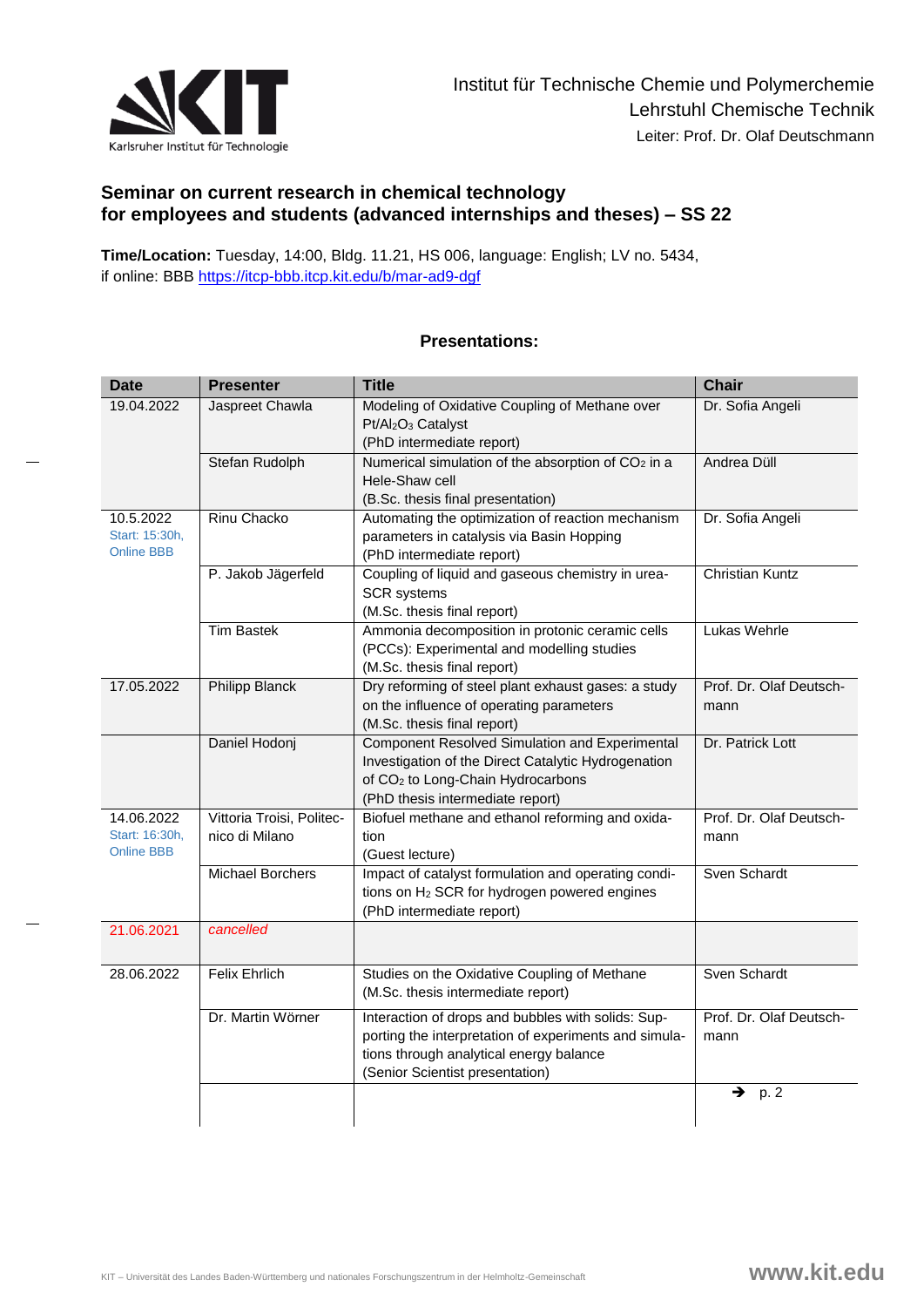

## **Seminar on current research in chemical technology for employees and students (advanced internships and theses) – SS 22**

**Time/Location:** Tuesday, 14:00, Bldg. 11.21, HS 006, language: English; LV no. 5434, if online: BBB<https://itcp-bbb.itcp.kit.edu/b/mar-ad9-dgf>

| <b>Date</b>                                       | <b>Presenter</b>                            | <b>Title</b>                                                                                                                                                                                      | <b>Chair</b>                    |
|---------------------------------------------------|---------------------------------------------|---------------------------------------------------------------------------------------------------------------------------------------------------------------------------------------------------|---------------------------------|
| 19.04.2022                                        | Jaspreet Chawla                             | Modeling of Oxidative Coupling of Methane over<br>Pt/Al <sub>2</sub> O <sub>3</sub> Catalyst<br>(PhD intermediate report)                                                                         | Dr. Sofia Angeli                |
|                                                   | Stefan Rudolph                              | Numerical simulation of the absorption of CO <sub>2</sub> in a<br>Hele-Shaw cell<br>(B.Sc. thesis final presentation)                                                                             | Andrea Düll                     |
| 10.5.2022<br>Start: 15:30h,<br><b>Online BBB</b>  | <b>Rinu Chacko</b>                          | Automating the optimization of reaction mechanism<br>parameters in catalysis via Basin Hopping<br>(PhD intermediate report)                                                                       | Dr. Sofia Angeli                |
|                                                   | P. Jakob Jägerfeld                          | Coupling of liquid and gaseous chemistry in urea-<br><b>SCR</b> systems<br>(M.Sc. thesis final report)                                                                                            | <b>Christian Kuntz</b>          |
|                                                   | <b>Tim Bastek</b>                           | Ammonia decomposition in protonic ceramic cells<br>(PCCs): Experimental and modelling studies<br>(M.Sc. thesis final report)                                                                      | Lukas Wehrle                    |
| 17.05.2022                                        | <b>Philipp Blanck</b>                       | Dry reforming of steel plant exhaust gases: a study<br>on the influence of operating parameters<br>(M.Sc. thesis final report)                                                                    | Prof. Dr. Olaf Deutsch-<br>mann |
|                                                   | Daniel Hodonj                               | <b>Component Resolved Simulation and Experimental</b><br>Investigation of the Direct Catalytic Hydrogenation<br>of CO <sub>2</sub> to Long-Chain Hydrocarbons<br>(PhD thesis intermediate report) | Dr. Patrick Lott                |
| 14.06.2022<br>Start: 16:30h,<br><b>Online BBB</b> | Vittoria Troisi, Politec-<br>nico di Milano | Biofuel methane and ethanol reforming and oxida-<br>tion<br>(Guest lecture)                                                                                                                       | Prof. Dr. Olaf Deutsch-<br>mann |
|                                                   | <b>Michael Borchers</b>                     | Impact of catalyst formulation and operating condi-<br>tions on H <sub>2</sub> SCR for hydrogen powered engines<br>(PhD intermediate report)                                                      | Sven Schardt                    |
| 21.06.2021                                        | cancelled                                   |                                                                                                                                                                                                   |                                 |
| 28.06.2022                                        | <b>Felix Ehrlich</b>                        | Studies on the Oxidative Coupling of Methane<br>(M.Sc. thesis intermediate report)                                                                                                                | Sven Schardt                    |
|                                                   | Dr. Martin Wörner                           | Interaction of drops and bubbles with solids: Sup-<br>porting the interpretation of experiments and simula-<br>tions through analytical energy balance<br>(Senior Scientist presentation)         | Prof. Dr. Olaf Deutsch-<br>mann |
|                                                   |                                             |                                                                                                                                                                                                   | p.2<br>→                        |

## **Presentations:**